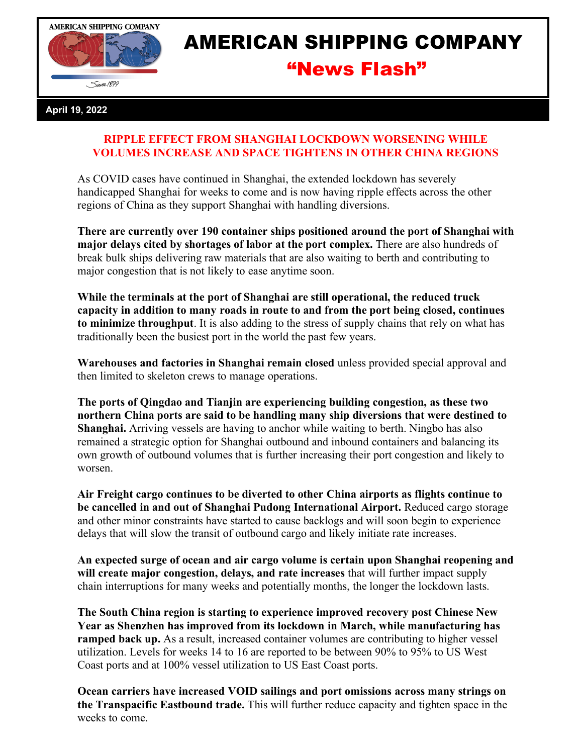

## AMERICAN SHIPPING COMPANY "News Flash"

## **April 19, 2022**

## **RIPPLE EFFECT FROM SHANGHAI LOCKDOWN WORSENING WHILE VOLUMES INCREASE AND SPACE TIGHTENS IN OTHER CHINA REGIONS**

As COVID cases have continued in Shanghai, the extended lockdown has severely handicapped Shanghai for weeks to come and is now having ripple effects across the other regions of China as they support Shanghai with handling diversions.

**There are currently over 190 container ships positioned around the port of Shanghai with major delays cited by shortages of labor at the port complex.** There are also hundreds of break bulk ships delivering raw materials that are also waiting to berth and contributing to major congestion that is not likely to ease anytime soon.

**While the terminals at the port of Shanghai are still operational, the reduced truck capacity in addition to many roads in route to and from the port being closed, continues to minimize throughput**. It is also adding to the stress of supply chains that rely on what has traditionally been the busiest port in the world the past few years.

**Warehouses and factories in Shanghai remain closed** unless provided special approval and then limited to skeleton crews to manage operations.

**The ports of Qingdao and Tianjin are experiencing building congestion, as these two northern China ports are said to be handling many ship diversions that were destined to Shanghai.** Arriving vessels are having to anchor while waiting to berth. Ningbo has also remained a strategic option for Shanghai outbound and inbound containers and balancing its own growth of outbound volumes that is further increasing their port congestion and likely to worsen.

**Air Freight cargo continues to be diverted to other China airports as flights continue to be cancelled in and out of Shanghai Pudong International Airport.** Reduced cargo storage and other minor constraints have started to cause backlogs and will soon begin to experience delays that will slow the transit of outbound cargo and likely initiate rate increases.

**An expected surge of ocean and air cargo volume is certain upon Shanghai reopening and will create major congestion, delays, and rate increases** that will further impact supply chain interruptions for many weeks and potentially months, the longer the lockdown lasts.

**The South China region is starting to experience improved recovery post Chinese New Year as Shenzhen has improved from its lockdown in March, while manufacturing has ramped back up.** As a result, increased container volumes are contributing to higher vessel utilization. Levels for weeks 14 to 16 are reported to be between 90% to 95% to US West Coast ports and at 100% vessel utilization to US East Coast ports.

**Ocean carriers have increased VOID sailings and port omissions across many strings on the Transpacific Eastbound trade.** This will further reduce capacity and tighten space in the weeks to come.